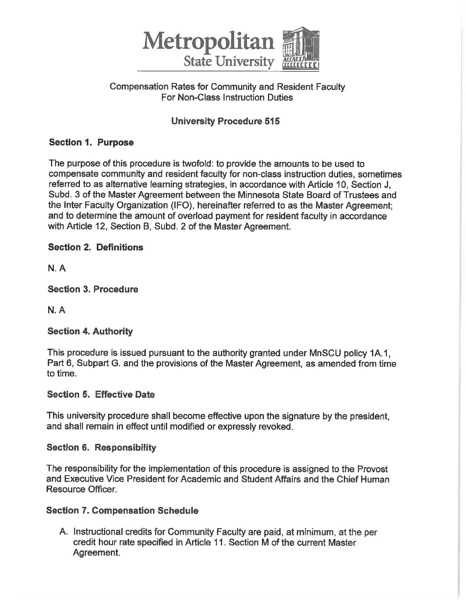

## Compensation Rates for Community and Resident Faculty For Non-Class Instruction Duties

# **University Procedure 515**

## **Section 1. Purpose**

The purpose of this procedure is twofold: to provide the amounts to be used to compensate community and resident faculty for non-class instruction duties, sometimes referred to as alternative learning strategies, in accordance with Article 10, Section J, Subd. 3 of the Master Agreement between the Minnesota State Board of Trustees and the Inter Faculty Organization (IFO), hereinafter referred to as the Master Agreement; and to determine the amount of overload payment for resident faculty in accordance with Article 12, Section B, Subd. 2 of the Master Agreement.

## **Section 2. Definitions**

**N.A** 

**Section 3. Procedure** 

**N.A** 

## **Section 4. Authority**

This procedure is issued pursuant to the authority granted under MnSCU policy 1A.1, Part 6, Subpart G. and the provisions of the Master Agreement, as amended from time to time.

### **Section 5. Effective Date**

This university procedure shall become effective upon the signature by the president, and shall remain in effect until modified or expressly revoked.

### **Section 6. Responsibility**

The responsibility for the implementation of this procedure is assigned to the Provost and Executive Vice President for Academic and Student Affairs and the Chief Human Resource Officer.

## **Section 7. Compensation Schedule**

A. Instructional credits for Community Faculty are paid, at minimum, at the per credit hour rate specified in Article 11. Section M of the current Master Agreement.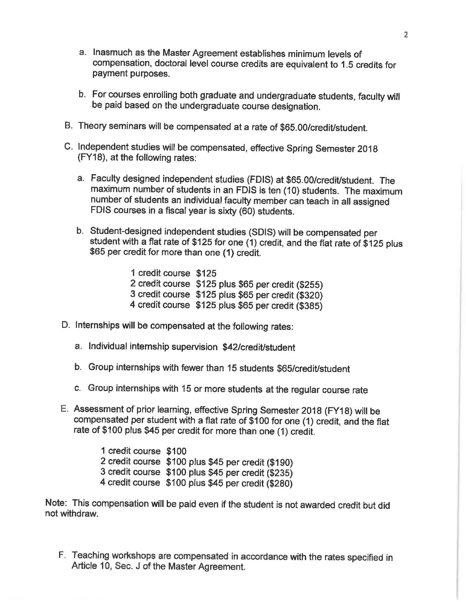- a. Inasmuch as the Master Agreement establishes minimum levels of compensation, doctoral level course credits are equivalent to 1.5 credits for payment purposes.
- b. For courses enrolling both graduate and undergraduate students, faculty will be paid based on the undergraduate course designation.
- B. Theory seminars will be compensated at a rate of \$65.00/credit/student.
- C. Independent studies will be compensated, effective Spring Semester 2018 (FY18), at the following rates:
	- a. Faculty designed independent studies (FDIS) at \$65.00/credit/student. The maximum number of students in an FDIS is ten (10) students. The maximum number of students an individual faculty member can teach in all assigned FDIS courses in a fiscal year is sixty (60) students.
	- b. Student-designed independent studies (SDIS) will be compensated per student with a flat rate of \$125 for one (1) credit, and the flat rate of \$125 plus \$65 per credit for more than one (1) credit.

1 credit course \$125 2 credit course \$125 plus \$65 per credit (\$255) 3 credit course \$125 plus \$65 per credit (\$320) 4 credit course \$125 plus \$65 per credit (\$385)

- D. Internships will be compensated at the following rates:
	- a. Individual internship supervision \$42/credit/student
	- b. Group internships with fewer than 15 students \$65/credit/student
	- c. Group internships with 15 or more students at the regular course rate
- E. Assessment of prior learning, effective Spring Semester 2018 (FY18) will be compensated per student with a flat rate of \$100 for one (1) credit, and the flat rate of \$100 plus \$45 per credit for more than one (1) credit.

1 credit course \$100 2 credit course \$100 plus \$45 per credit (\$190) 3 credit course \$100 plus \$45 per credit (\$235) 4 credit course \$100 plus \$45 per credit (\$280)

Note: This compensation will be paid even if the student is not awarded credit but did not withdraw.

F. Teaching workshops are compensated in accordance with the rates specified in Article 10, Sec. J of the Master Agreement.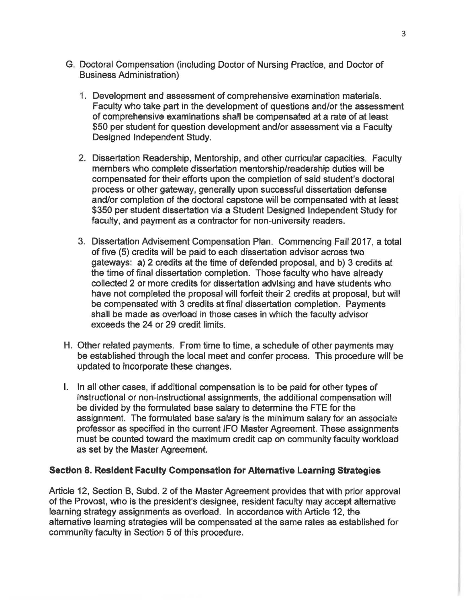- G. Doctoral Compensation (including Doctor of Nursing Practice, and Doctor of Business Administration)
	- 1. Development and assessment of comprehensive examination materials . Faculty who take part in the development of questions and/or the assessment of comprehensive examinations shall be compensated at a rate of at least \$50 per student for question development and/or assessment via a Faculty Designed Independent Study.
	- 2. Dissertation Readership, Mentorship, and other curricular capacities. Faculty members who complete dissertation mentorship/readership duties will be compensated for their efforts upon the completion of said student's doctoral process or other gateway, generally upon successful dissertation defense and/or completion of the doctoral capstone will be compensated with at least \$350 per student dissertation via a Student Designed Independent Study for faculty, and payment as a contractor for non-university readers.
	- 3. Dissertation Advisement Compensation Plan. Commencing Fall 2017, a total of five (5) credits will be paid to each dissertation advisor across two gateways: a) 2 credits at the time of defended proposal, and b) 3 credits at the time of final dissertation completion. Those faculty who have already collected 2 or more credits for dissertation advising and have students who have not completed the proposal will forfeit their 2 credits at proposal, but will be compensated with 3 credits at final dissertation completion. Payments shall be made as overload in those cases in which the faculty advisor exceeds the 24 or 29 credit limits.
- H. Other related payments. From time to time, a schedule of other payments may be established through the local meet and confer process. This procedure will be updated to incorporate these changes.
- I. In all other cases, if additional compensation is to be paid for other types of instructional or non-instructional assignments , the additional compensation will be divided by the formulated base salary to determine the FTE for the assignment. The formulated base salary is the minimum salary for an associate professor as specified in the current IFO Master Agreement. These assignments must be counted toward the maximum credit cap on community faculty workload as set by the Master Agreement.

### **Section 8. Resident Faculty Compensation for Alternative Learning Strategies**

Article 12, Section 8, Subd. 2 of the Master Agreement provides that with prior approval of the Provost, who is the president's designee, resident faculty may accept alternative learning strategy assignments as overload. In accordance with Article 12, the alternative learning strategies will be compensated at the same rates as established for community faculty in Section 5 of this procedure.